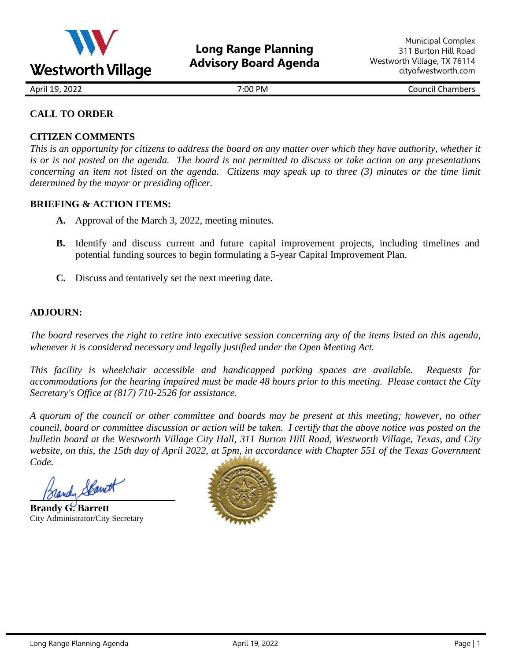

April 19, 2022 7:00 PM Council Chambers

# **CALL TO ORDER**

# **CITIZEN COMMENTS**

*This is an opportunity for citizens to address the board on any matter over which they have authority, whether it is or is not posted on the agenda. The board is not permitted to discuss or take action on any presentations concerning an item not listed on the agenda. Citizens may speak up to three (3) minutes or the time limit determined by the mayor or presiding officer.*

## **BRIEFING & ACTION ITEMS:**

- **A.** Approval of the March 3, 2022, meeting minutes.
- **B.** Identify and discuss current and future capital improvement projects, including timelines and potential funding sources to begin formulating a 5-year Capital Improvement Plan.
- **C.** Discuss and tentatively set the next meeting date.

## **ADJOURN:**

*The board reserves the right to retire into executive session concerning any of the items listed on this agenda, whenever it is considered necessary and legally justified under the Open Meeting Act.*

*This facility is wheelchair accessible and handicapped parking spaces are available. Requests for accommodations for the hearing impaired must be made 48 hours prior to this meeting. Please contact the City Secretary's Office at (817) 710-2526 for assistance.*

*A quorum of the council or other committee and boards may be present at this meeting; however, no other council, board or committee discussion or action will be taken. I certify that the above notice was posted on the bulletin board at the Westworth Village City Hall, 311 Burton Hill Road, Westworth Village, Texas, and City website, on this, the 15th day of April 2022, at 5pm, in accordance with Chapter 551 of the Texas Government Code.* 

**\_\_\_\_\_\_\_\_\_\_\_\_\_\_\_\_\_\_\_\_\_\_\_\_\_\_\_\_\_**

**Brandy G. Barrett** City Administrator/City Secretary

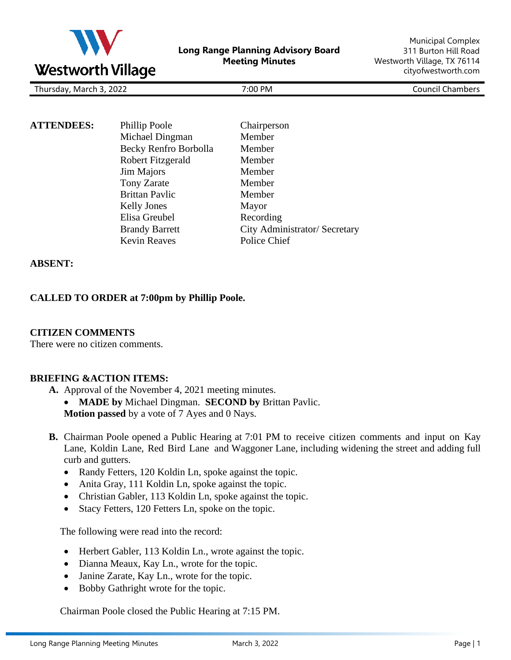

| Thu<br>2021<br>. n/larc <sup>u</sup><br>ີ<br>.<br>$\sim$ $\sim$ $\sim$ | <b>PM</b><br>:00 | $  -$<br><b>OUP</b><br>″≏۱۵۰<br>aar<br>. |
|------------------------------------------------------------------------|------------------|------------------------------------------|
|                                                                        |                  |                                          |

| <b>ATTENDEES:</b> |                       |                               |
|-------------------|-----------------------|-------------------------------|
|                   | Phillip Poole         | Chairperson                   |
|                   | Michael Dingman       | Member                        |
|                   | Becky Renfro Borbolla | Member                        |
|                   | Robert Fitzgerald     | Member                        |
|                   | Jim Majors            | Member                        |
|                   | Tony Zarate           | Member                        |
|                   | <b>Brittan Pavlic</b> | Member                        |
|                   | <b>Kelly Jones</b>    | Mayor                         |
|                   | Elisa Greubel         | Recording                     |
|                   | <b>Brandy Barrett</b> | City Administrator/ Secretary |
|                   | <b>Kevin Reaves</b>   | Police Chief                  |

### **ABSENT:**

### **CALLED TO ORDER at 7:00pm by Phillip Poole.**

#### **CITIZEN COMMENTS**

There were no citizen comments.

#### **BRIEFING &ACTION ITEMS:**

**A.** Approval of the November 4, 2021 meeting minutes.

- **MADE by** Michael Dingman. **SECOND by** Brittan Pavlic.
- **Motion passed** by a vote of 7 Ayes and 0 Nays.
- **B.** Chairman Poole opened a Public Hearing at 7:01 PM to receive citizen comments and input on Kay Lane, Koldin Lane, Red Bird Lane and Waggoner Lane, including widening the street and adding full curb and gutters.
	- Randy Fetters, 120 Koldin Ln, spoke against the topic.
	- Anita Gray, 111 Koldin Ln, spoke against the topic.
	- Christian Gabler, 113 Koldin Ln, spoke against the topic.
	- Stacy Fetters, 120 Fetters Ln, spoke on the topic.

The following were read into the record:

- Herbert Gabler, 113 Koldin Ln., wrote against the topic.
- Dianna Meaux, Kay Ln., wrote for the topic.
- Janine Zarate, Kay Ln., wrote for the topic.
- Bobby Gathright wrote for the topic.

Chairman Poole closed the Public Hearing at 7:15 PM.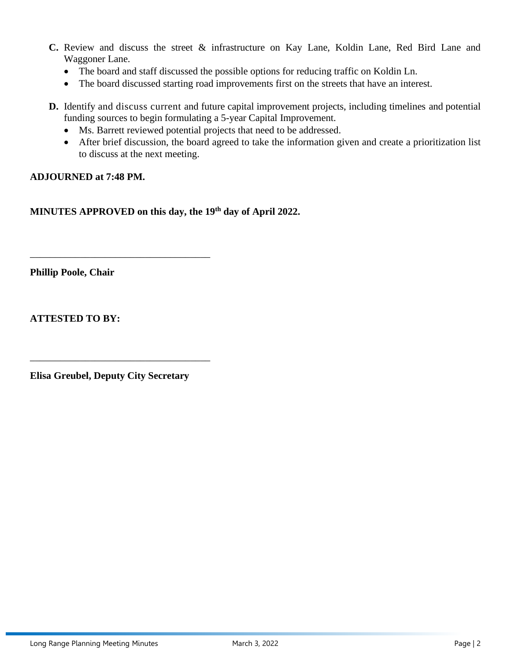- **C.** Review and discuss the street & infrastructure on Kay Lane, Koldin Lane, Red Bird Lane and Waggoner Lane.
	- The board and staff discussed the possible options for reducing traffic on Koldin Ln.
	- The board discussed starting road improvements first on the streets that have an interest.
- **D.** Identify and discuss current and future capital improvement projects, including timelines and potential funding sources to begin formulating a 5-year Capital Improvement.
	- Ms. Barrett reviewed potential projects that need to be addressed.
	- After brief discussion, the board agreed to take the information given and create a prioritization list to discuss at the next meeting.

## **ADJOURNED at 7:48 PM.**

**MINUTES APPROVED on this day, the 19th day of April 2022.** 

**Phillip Poole, Chair**

**ATTESTED TO BY:** 

**Elisa Greubel, Deputy City Secretary**

\_\_\_\_\_\_\_\_\_\_\_\_\_\_\_\_\_\_\_\_\_\_\_\_\_\_\_\_\_\_\_\_\_\_\_\_

\_\_\_\_\_\_\_\_\_\_\_\_\_\_\_\_\_\_\_\_\_\_\_\_\_\_\_\_\_\_\_\_\_\_\_\_